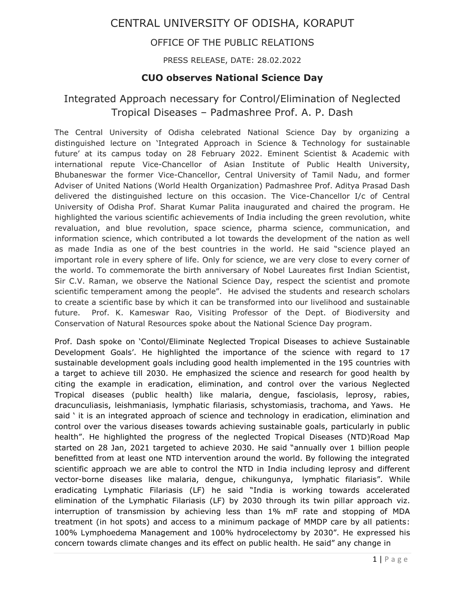# CENTRAL UNIVERSITY OF ODISHA, KORAPUT

### OFFICE OF THE PUBLIC RELATIONS

#### PRESS RELEASE, DATE: 28.02.2022

### **CUO observes National Science Day**

## Integrated Approach necessary for Control/Elimination of Neglected Tropical Diseases – Padmashree Prof. A. P. Dash

The Central University of Odisha celebrated National Science Day by organizing a distinguished lecture on 'Integrated Approach in Science & Technology for sustainable future' at its campus today on 28 February 2022. Eminent Scientist & Academic with international repute Vice-Chancellor of Asian Institute of Public Health University, Bhubaneswar the former Vice-Chancellor, Central University of Tamil Nadu, and former Adviser of United Nations (World Health Organization) Padmashree Prof. Aditya Prasad Dash delivered the distinguished lecture on this occasion. The Vice-Chancellor I/c of Central University of Odisha Prof. Sharat Kumar Palita inaugurated and chaired the program. He highlighted the various scientific achievements of India including the green revolution, white revaluation, and blue revolution, space science, pharma science, communication, and information science, which contributed a lot towards the development of the nation as well as made India as one of the best countries in the world. He said "science played an important role in every sphere of life. Only for science, we are very close to every corner of the world. To commemorate the birth anniversary of Nobel Laureates first Indian Scientist, Sir C.V. Raman, we observe the National Science Day, respect the scientist and promote scientific temperament among the people". He advised the students and research scholars to create a scientific base by which it can be transformed into our livelihood and sustainable future. Prof. K. Kameswar Rao, Visiting Professor of the Dept. of Biodiversity and Conservation of Natural Resources spoke about the National Science Day program.

Prof. Dash spoke on 'Contol/Eliminate Neglected Tropical Diseases to achieve Sustainable Development Goals'. He highlighted the importance of the science with regard to 17 sustainable development goals including good health implemented in the 195 countries with a target to achieve till 2030. He emphasized the science and research for good health by citing the example in eradication, elimination, and control over the various Neglected Tropical diseases (public health) like malaria, dengue, fasciolasis, leprosy, rabies, dracunculiasis, leishmaniasis, lymphatic filariasis, schystomiasis, trachoma, and Yaws. He said ' it is an integrated approach of science and technology in eradication, elimination and control over the various diseases towards achieving sustainable goals, particularly in public health". He highlighted the progress of the neglected Tropical Diseases (NTD)Road Map started on 28 Jan, 2021 targeted to achieve 2030. He said "annually over 1 billion people benefitted from at least one NTD intervention around the world. By following the integrated scientific approach we are able to control the NTD in India including leprosy and different vector-borne diseases like malaria, dengue, chikungunya, lymphatic filariasis". While eradicating Lymphatic Filariasis (LF) he said "India is working towards accelerated elimination of the Lymphatic Filariasis (LF) by 2030 through its twin pillar approach viz. interruption of transmission by achieving less than 1% mF rate and stopping of MDA treatment (in hot spots) and access to a minimum package of MMDP care by all patients: 100% Lymphoedema Management and 100% hydrocelectomy by 2030". He expressed his concern towards climate changes and its effect on public health. He said" any change in